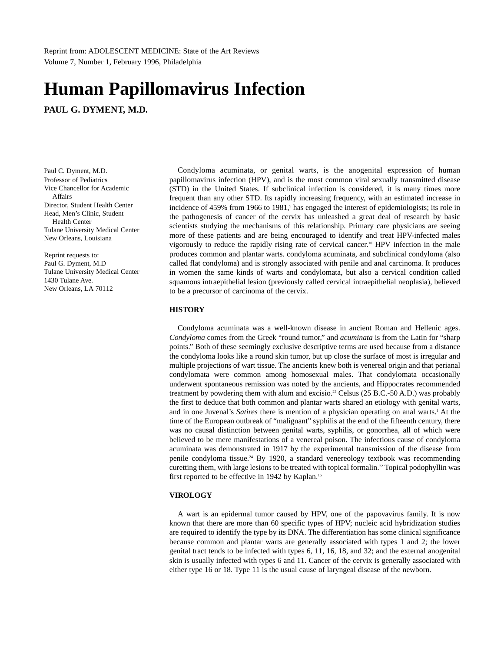**PAUL G. DYMENT, M.D.**

Paul C. Dyment, M.D. Professor of Pediatrics Vice Chancellor for Academic Affairs Director, Student Health Center Head, Men's Clinic, Student Health Center Tulane University Medical Center New Orleans, Louisiana

Reprint requests to: Paul G. Dyment, M.D Tulane University Medical Center 1430 Tulane Ave. New Orleans, LA 70112

Condyloma acuminata, or genital warts, is the anogenital expression of human papillomavirus infection (HPV), and is the most common viral sexually transmitted disease (STD) in the United States. If subclinical infection is considered, it is many times more frequent than any other STD. Its rapidly increasing frequency, with an estimated increase in incidence of 459% from 1966 to 1981,<sup>5</sup> has engaged the interest of epidemiologists; its role in the pathogenesis of cancer of the cervix has unleashed a great deal of research by basic scientists studying the mechanisms of this relationship. Primary care physicians are seeing more of these patients and are being encouraged to identify and treat HPV-infected males vigorously to reduce the rapidly rising rate of cervical cancer.<sup>10</sup> HPV infection in the male produces common and plantar warts. condyloma acuminata, and subclinical condyloma (also called flat condyloma) and is strongly associated with penile and anal carcinoma. It produces in women the same kinds of warts and condylomata, but also a cervical condition called squamous intraepithelial lesion (previously called cervical intraepithelial neoplasia), believed to be a precursor of carcinoma of the cervix.

# **HISTORY**

Condyloma acuminata was a well-known disease in ancient Roman and Hellenic ages. *Condyloma* comes from the Greek "round tumor," and *acuminata* is from the Latin for "sharp points." Both of these seemingly exclusive descriptive terms are used because from a distance the condyloma looks like a round skin tumor, but up close the surface of most is irregular and multiple projections of wart tissue. The ancients knew both is venereal origin and that perianal condylomata were common among homosexual males. That condylomata occasionally underwent spontaneous remission was noted by the ancients, and Hippocrates recommended treatment by powdering them with alum and excisio.<sup>22</sup> Celsus (25 B.C.-50 A.D.) was probably the first to deduce that both common and plantar warts shared an etiology with genital warts, and in one Juvenal's *Satires* there is mention of a physician operating on anal warts.<sup>1</sup> At the time of the European outbreak of "malignant" syphilis at the end of the fifteenth century, there was no causal distinction between genital warts, syphilis, or gonorrhea, all of which were believed to be mere manifestations of a venereal poison. The infectious cause of condyloma acuminata was demonstrated in 1917 by the experimental transmission of the disease from penile condyloma tissue.<sup>24</sup> By 1920, a standard venereology textbook was recommending curetting them, with large lesions to be treated with topical formalin.<sup>22</sup> Topical podophyllin was first reported to be effective in 1942 by Kaplan.<sup>16</sup>

# **VIROLOGY**

A wart is an epidermal tumor caused by HPV, one of the papovavirus family. It is now known that there are more than 60 specific types of HPV; nucleic acid hybridization studies are required to identify the type by its DNA. The differentiation has some clinical significance because common and plantar warts are generally associated with types 1 and 2; the lower genital tract tends to be infected with types 6, 11, 16, 18, and 32; and the external anogenital skin is usually infected with types 6 and 11. Cancer of the cervix is generally associated with either type 16 or 18. Type 11 is the usual cause of laryngeal disease of the newborn.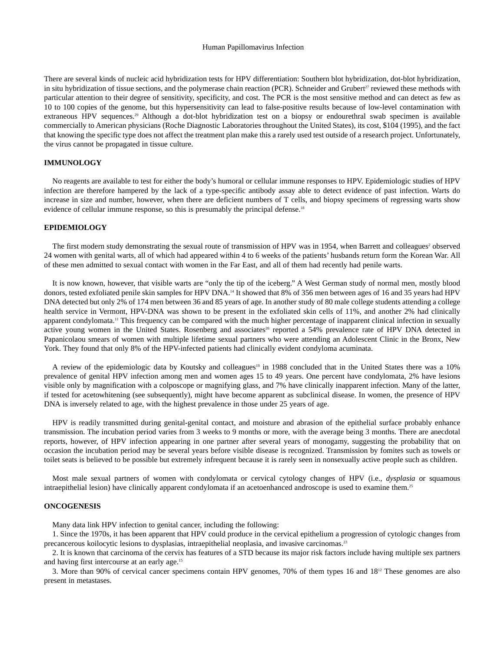There are several kinds of nucleic acid hybridization tests for HPV differentiation: Southern blot hybridization, dot-blot hybridization, in situ hybridization of tissue sections, and the polymerase chain reaction (PCR). Schneider and Grubert<sup>27</sup> reviewed these methods with particular attention to their degree of sensitivity, specificity, and cost. The PCR is the most sensitive method and can detect as few as 10 to 100 copies of the genome, but this hypersensitivity can lead to false-positive results because of low-level contamination with extraneous HPV sequences.<sup>29</sup> Although a dot-blot hybridization test on a biopsy or endourethral swab specimen is available commercially to American physicians (Roche Diagnostic Laboratories throughout the United States), its cost, \$104 (1995), and the fact that knowing the specific type does not affect the treatment plan make this a rarely used test outside of a research project. Unfortunately, the virus cannot be propagated in tissue culture.

# **IMMUNOLOGY**

No reagents are available to test for either the body's humoral or cellular immune responses to HPV. Epidemiologic studies of HPV infection are therefore hampered by the lack of a type-specific antibody assay able to detect evidence of past infection. Warts do increase in size and number, however, when there are deficient numbers of T cells, and biopsy specimens of regressing warts show evidence of cellular immune response, so this is presumably the principal defense.<sup>18</sup>

# **EPIDEMIOLOGY**

The first modern study demonstrating the sexual route of transmission of HPV was in 1954, when Barrett and colleagues<sup>2</sup> observed 24 women with genital warts, all of which had appeared within 4 to 6 weeks of the patients' husbands return form the Korean War. All of these men admitted to sexual contact with women in the Far East, and all of them had recently had penile warts.

It is now known, however, that visible warts are "only the tip of the iceberg." A West German study of normal men, mostly blood donors, tested exfoliated penile skin samples for HPV DNA.<sup>14</sup> It showed that 8% of 356 men between ages of 16 and 35 years had HPV DNA detected but only 2% of 174 men between 36 and 85 years of age. In another study of 80 male college students attending a college health service in Vermont, HPV-DNA was shown to be present in the exfoliated skin cells of 11%, and another 2% had clinically apparent condylomata.<sup>11</sup> This frequency can be compared with the much higher percentage of inapparent clinical infection in sexually active young women in the United States. Rosenberg and associates<sup>26</sup> reported a 54% prevalence rate of HPV DNA detected in Papanicolaou smears of women with multiple lifetime sexual partners who were attending an Adolescent Clinic in the Bronx, New York. They found that only 8% of the HPV-infected patients had clinically evident condyloma acuminata.

A review of the epidemiologic data by Koutsky and colleagues<sup>19</sup> in 1988 concluded that in the United States there was a 10% prevalence of genital HPV infection among men and women ages 15 to 49 years. One percent have condylomata, 2% have lesions visible only by magnification with a colposcope or magnifying glass, and 7% have clinically inapparent infection. Many of the latter, if tested for acetowhitening (see subsequently), might have become apparent as subclinical disease. In women, the presence of HPV DNA is inversely related to age, with the highest prevalence in those under 25 years of age.

HPV is readily transmitted during genital-genital contact, and moisture and abrasion of the epithelial surface probably enhance transmission. The incubation period varies from 3 weeks to 9 months or more, with the average being 3 months. There are anecdotal reports, however, of HPV infection appearing in one partner after several years of monogamy, suggesting the probability that on occasion the incubation period may be several years before visible disease is recognized. Transmission by fomites such as towels or toilet seats is believed to be possible but extremely infrequent because it is rarely seen in nonsexually active people such as children.

Most male sexual partners of women with condylomata or cervical cytology changes of HPV (i.e., *dysplasia* or squamous intraepithelial lesion) have clinically apparent condylomata if an acetoenhanced androscope is used to examine them.25

# **ONCOGENESIS**

Many data link HPV infection to genital cancer, including the following:

1. Since the 1970s, it has been apparent that HPV could produce in the cervical epithelium a progression of cytologic changes from precancerous koilocytic lesions to dysplasias, intraepithelial neoplasia, and invasive carcinomas.<sup>23</sup>

2. It is known that carcinoma of the cervix has features of a STD because its major risk factors include having multiple sex partners and having first intercourse at an early age.15

3. More than 90% of cervical cancer specimens contain HPV genomes, 70% of them types 16 and 1812 These genomes are also present in metastases.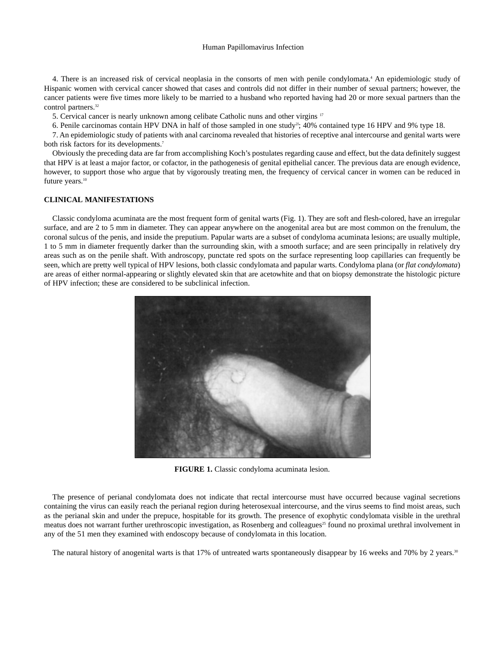4. There is an increased risk of cervical neoplasia in the consorts of men with penile condylomata.<sup>4</sup> An epidemiologic study of Hispanic women with cervical cancer showed that cases and controls did not differ in their number of sexual partners; however, the cancer patients were five times more likely to be married to a husband who reported having had 20 or more sexual partners than the control partners.<sup>32</sup>

5. Cervical cancer is nearly unknown among celibate Catholic nuns and other virgins 17

6. Penile carcinomas contain HPV DNA in half of those sampled in one study<sup>21</sup>; 40% contained type 16 HPV and 9% type 18.

7. An epidemiologic study of patients with anal carcinoma revealed that histories of receptive anal intercourse and genital warts were both risk factors for its developments.<sup>7</sup>

Obviously the preceding data are far from accomplishing Koch's postulates regarding cause and effect, but the data definitely suggest that HPV is at least a major factor, or cofactor, in the pathogenesis of genital epithelial cancer. The previous data are enough evidence, however, to support those who argue that by vigorously treating men, the frequency of cervical cancer in women can be reduced in future years.<sup>10</sup>

#### **CLINICAL MANIFESTATIONS**

Classic condyloma acuminata are the most frequent form of genital warts (Fig. 1). They are soft and flesh-colored, have an irregular surface, and are 2 to 5 mm in diameter. They can appear anywhere on the anogenital area but are most common on the frenulum, the coronal sulcus of the penis, and inside the preputium. Papular warts are a subset of condyloma acuminata lesions; are usually multiple, 1 to 5 mm in diameter frequently darker than the surrounding skin, with a smooth surface; and are seen principally in relatively dry areas such as on the penile shaft. With androscopy, punctate red spots on the surface representing loop capillaries can frequently be seen, which are pretty well typical of HPV lesions, both classic condylomata and papular warts. Condyloma plana (or *flat condylomata*) are areas of either normal-appearing or slightly elevated skin that are acetowhite and that on biopsy demonstrate the histologic picture of HPV infection; these are considered to be subclinical infection.



**FIGURE 1.** Classic condyloma acuminata lesion.

The presence of perianal condylomata does not indicate that rectal intercourse must have occurred because vaginal secretions containing the virus can easily reach the perianal region during heterosexual intercourse, and the virus seems to find moist areas, such as the perianal skin and under the prepuce, hospitable for its growth. The presence of exophytic condylomata visible in the urethral meatus does not warrant further urethroscopic investigation, as Rosenberg and colleagues<sup>25</sup> found no proximal urethral involvement in any of the 51 men they examined with endoscopy because of condylomata in this location.

The natural history of anogenital warts is that 17% of untreated warts spontaneously disappear by 16 weeks and 70% by 2 years.<sup>30</sup>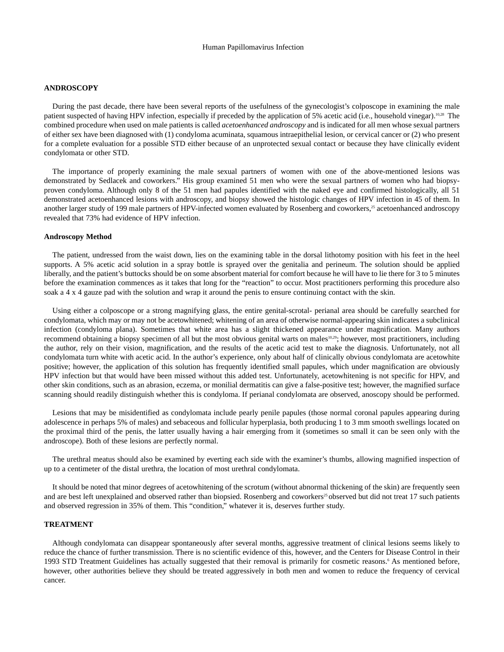## **ANDROSCOPY**

During the past decade, there have been several reports of the usefulness of the gynecologist's colposcope in examining the male patient suspected of having HPV infection, especially if preceded by the application of 5% acetic acid (i.e., household vinegar).10,28 The combined procedure when used on male patients is called *acetoenhanced androscopy* and is indicated for all men whose sexual partners of either sex have been diagnosed with (1) condyloma acuminata, squamous intraepithelial lesion, or cervical cancer or (2) who present for a complete evaluation for a possible STD either because of an unprotected sexual contact or because they have clinically evident condylomata or other STD.

The importance of properly examining the male sexual partners of women with one of the above-mentioned lesions was demonstrated by Sedlacek and coworkers." His group examined 51 men who were the sexual partners of women who had biopsyproven condyloma. Although only 8 of the 51 men had papules identified with the naked eye and confirmed histologically, all 51 demonstrated acetoenhanced lesions with androscopy, and biopsy showed the histologic changes of HPV infection in 45 of them. In another larger study of 199 male partners of HPV-infected women evaluated by Rosenberg and coworkers,<sup>25</sup> acetoenhanced androscopy revealed that 73% had evidence of HPV infection.

#### **Androscopy Method**

The patient, undressed from the waist down, lies on the examining table in the dorsal lithotomy position with his feet in the heel supports. A 5% acetic acid solution in a spray bottle is sprayed over the genitalia and perineum. The solution should be applied liberally, and the patient's buttocks should be on some absorbent material for comfort because he will have to lie there for 3 to 5 minutes before the examination commences as it takes that long for the "reaction" to occur. Most practitioners performing this procedure also soak a 4 x 4 gauze pad with the solution and wrap it around the penis to ensure continuing contact with the skin.

Using either a colposcope or a strong magnifying glass, the entire genital-scrotal- perianal area should be carefully searched for condylomata, which may or may not be acetowhitened; whitening of an area of otherwise normal-appearing skin indicates a subclinical infection (condyloma plana). Sometimes that white area has a slight thickened appearance under magnification. Many authors recommend obtaining a biopsy specimen of all but the most obvious genital warts on males<sup>10,29</sup>; however, most practitioners, including the author, rely on their vision, magnification, and the results of the acetic acid test to make the diagnosis. Unfortunately, not all condylomata turn white with acetic acid. In the author's experience, only about half of clinically obvious condylomata are acetowhite positive; however, the application of this solution has frequently identified small papules, which under magnification are obviously HPV infection but that would have been missed without this added test. Unfortunately, acetowhitening is not specific for HPV, and other skin conditions, such as an abrasion, eczema, or monilial dermatitis can give a false-positive test; however, the magnified surface scanning should readily distinguish whether this is condyloma. If perianal condylomata are observed, anoscopy should be performed.

Lesions that may be misidentified as condylomata include pearly penile papules (those normal coronal papules appearing during adolescence in perhaps 5% of males) and sebaceous and follicular hyperplasia, both producing 1 to 3 mm smooth swellings located on the proximal third of the penis, the latter usually having a hair emerging from it (sometimes so small it can be seen only with the androscope). Both of these lesions are perfectly normal.

The urethral meatus should also be examined by everting each side with the examiner's thumbs, allowing magnified inspection of up to a centimeter of the distal urethra, the location of most urethral condylomata.

It should be noted that minor degrees of acetowhitening of the scrotum (without abnormal thickening of the skin) are frequently seen and are best left unexplained and observed rather than biopsied. Rosenberg and coworkers<sup>25</sup> observed but did not treat 17 such patients and observed regression in 35% of them. This "condition," whatever it is, deserves further study.

# **TREATMENT**

Although condylomata can disappear spontaneously after several months, aggressive treatment of clinical lesions seems likely to reduce the chance of further transmission. There is no scientific evidence of this, however, and the Centers for Disease Control in their 1993 STD Treatment Guidelines has actually suggested that their removal is primarily for cosmetic reasons.<sup>6</sup> As mentioned before, however, other authorities believe they should be treated aggressively in both men and women to reduce the frequency of cervical cancer.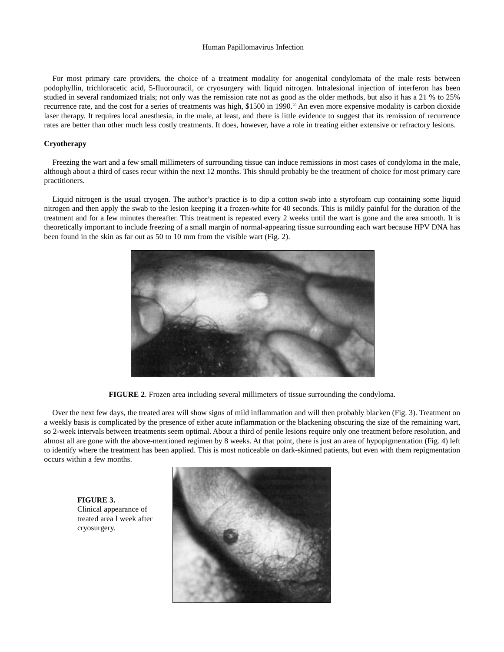For most primary care providers, the choice of a treatment modality for anogenital condylomata of the male rests between podophyllin, trichloracetic acid, 5-fluorouracil, or cryosurgery with liquid nitrogen. lntralesional injection of interferon has been studied in several randomized trials; not only was the remission rate not as good as the older methods, but also it has a 21 % to 25% recurrence rate, and the cost for a series of treatments was high, \$1500 in 1990.<sup>20</sup> An even more expensive modality is carbon dioxide laser therapy. It requires local anesthesia, in the male, at least, and there is little evidence to suggest that its remission of recurrence rates are better than other much less costly treatments. It does, however, have a role in treating either extensive or refractory lesions.

# **Cryotherapy**

Freezing the wart and a few small millimeters of surrounding tissue can induce remissions in most cases of condyloma in the male, although about a third of cases recur within the next 12 months. This should probably be the treatment of choice for most primary care practitioners.

Liquid nitrogen is the usual cryogen. The author's practice is to dip a cotton swab into a styrofoam cup containing some liquid nitrogen and then apply the swab to the lesion keeping it a frozen-white for 40 seconds. This is mildly painful for the duration of the treatment and for a few minutes thereafter. This treatment is repeated every 2 weeks until the wart is gone and the area smooth. It is theoretically important to include freezing of a small margin of normal-appearing tissue surrounding each wart because HPV DNA has been found in the skin as far out as 50 to 10 mm from the visible wart (Fig. 2).



**FIGURE 2**. Frozen area including several millimeters of tissue surrounding the condyloma.

Over the next few days, the treated area will show signs of mild inflammation and will then probably blacken (Fig. 3). Treatment on a weekly basis is complicated by the presence of either acute inflammation or the blackening obscuring the size of the remaining wart, so 2-week intervals between treatments seem optimal. About a third of penile lesions require only one treatment before resolution, and almost all are gone with the above-mentioned regimen by 8 weeks. At that point, there is just an area of hypopigmentation (Fig. 4) left to identify where the treatment has been applied. This is most noticeable on dark-skinned patients, but even with them repigmentation occurs within a few months.

**FIGURE 3.** Clinical appearance of treated area l week after cryosurgery.

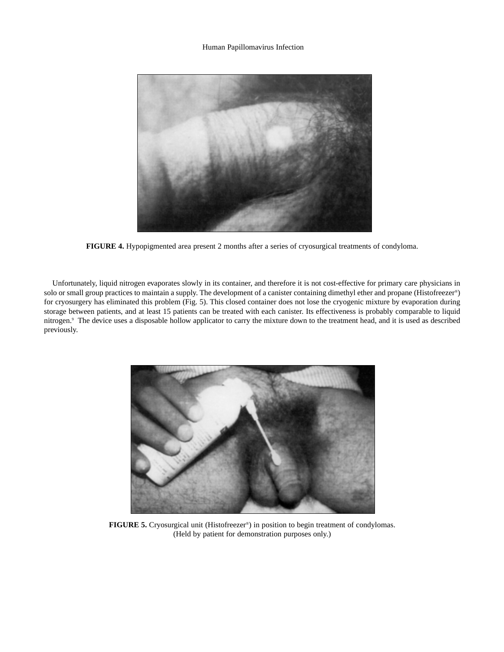

**FIGURE 4.** Hypopigmented area present 2 months after a series of cryosurgical treatments of condyloma.

Unfortunately, liquid nitrogen evaporates slowly in its container, and therefore it is not cost-effective for primary care physicians in solo or small group practices to maintain a supply. The development of a canister containing dimethyl ether and propane (Histofreezer®) for cryosurgery has eliminated this problem (Fig. 5). This closed container does not lose the cryogenic mixture by evaporation during storage between patients, and at least 15 patients can be treated with each canister. Its effectiveness is probably comparable to liquid nitrogen.9 The device uses a disposable hollow applicator to carry the mixture down to the treatment head, and it is used as described previously.



**FIGURE 5.** Cryosurgical unit (Histofreezer®) in position to begin treatment of condylomas. (Held by patient for demonstration purposes only.)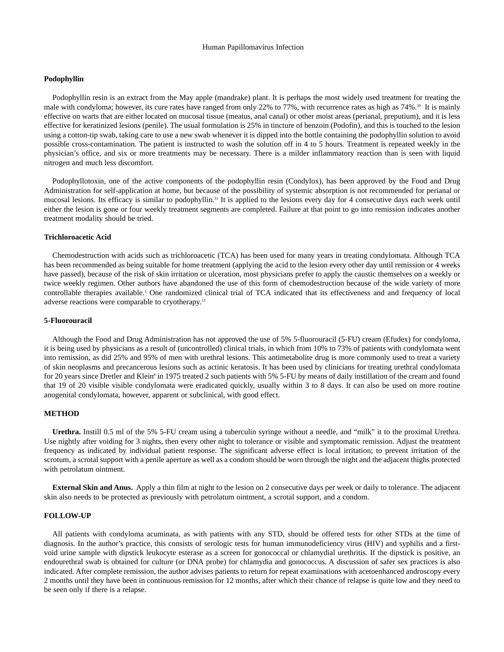# **Podophyllin**

Podophyllin resin is an extract from the May apple (mandrake) plant. It is perhaps the most widely used treatment for treating the male with condyloma; however, its cure rates have ranged from only 22% to 77%, with recurrence rates as high as 74%.<sup>20</sup> It is mainly effective on warts that are either located on mucosal tissue (meatus, anal canal) or other moist areas (perianal, preputium), and it is less effective for keratinized lesions (penile). The usual formulation is 25% in tincture of benzoin (Podofin), and this is touched to the lesion using a cotton-tip swab, taking care to use a new swab whenever it is dipped into the bottle containing the podophyllin solution to avoid possible cross-contamination. The patient is instructed to wash the solution off in 4 to 5 hours. Treatment is repeated weekly in the physician's office, and six or more treatments may be necessary. There is a milder inflammatory reaction than is seen with liquid nitrogen and much less discomfort.

Podophyllotoxin, one of the active components of the podophyllin resin (Condylox), has been approved by the Food and Drug Administration for self-application at home, but because of the possibility of systemic absorption is not recommended for perianal or mucosal lesions. Its efficacy is similar to podophyllin.<sup>31</sup> It is applied to the lesions every day for 4 consecutive days each week until either the lesion is gone or four weekly treatment segments are completed. Failure at that point to go into remission indicates another treatment modality should be tried.

## **Trichloroacetic Acid**

Chemodestruction with acids such as trichloroacetic (TCA) has been used for many years in treating condylomata. Although TCA has been recommended as being suitable for home treatment (applying the acid to the lesion every other day until remission or 4 weeks have passed), because of the risk of skin irritation or ulceration, most physicians prefer to apply the caustic themselves on a weekly or twice weekly regimen. Other authors have abandoned the use of this form of chemodestruction because of the wide variety of more controllable therapies available.3 One randomized clinical trial of TCA indicated that its effectiveness and and frequency of local adverse reactions were comparable to cryotherapy.13

## **5-Fluorouracil**

Although the Food and Drug Administration has not approved the use of 5% 5-fluorouracil (5-FU) cream (Efudex) for condyloma, it is being used by physicians as a result of (uncontrolled) clinical trials, in which from 10% to 73% of patients with condylomata went into remission, as did 25% and 95% of men with urethral lesions. This antimetabolite drug is more commonly used to treat a variety of skin neoplasms and precancerous lesions such as actinic keratosis. It has been used by clinicians for treating urethral condylomata for 20 years since Dretler and Klein<sup>8</sup> in 1975 treated 2 such patients with 5% 5-FU by means of daily instillation of the cream and found that 19 of 20 visible visible condylomata were eradicated quickly, usually within 3 to 8 days. It can also be used on more routine anogenital condylomata, however, apparent or subclinical, with good effect.

# **METHOD**

**Urethra.** Instill 0.5 ml of the 5% 5-FU cream using a tuberculin syringe without a needle, and "milk" it to the proximal Urethra. Use nightly after voiding for 3 nights, then every other night to tolerance or visible and symptomatic remission. Adjust the treatment frequency as indicated by individual patient response. The significant adverse effect is local irritation; to prevent irritation of the scrotum, a scrotal support with a penile aperture as well as a condom should be worn through the night and the adjacent thighs protected with petrolatum ointment.

**External Skin and Anus.** Apply a thin film at night to the lesion on 2 consecutive days per week or daily to tolerance. The adjacent skin also needs to be protected as previously with petrolatum ointment, a scrotal support, and a condom.

# **FOLLOW-UP**

All patients with condyloma acuminata, as with patients with any STD, should be offered tests for other STDs at the time of diagnosis. In the author's practice, this consists of serologic tests for human immunodeficiency virus (HIV) and syphilis and a firstvoid urine sample with dipstick leukocyte esterase as a screen for gonococcal or chlamydial urethritis. If the dipstick is positive, an endourethral swab is obtained for culture (or DNA probe) for chlamydia and gonococcus. A discussion of safer sex practices is also indicated. After complete remission, the author advises patients to return for repeat examinations with acetoenhanced androscopy every 2 months until they have been in continuous remission for 12 months, after which their chance of relapse is quite low and they need to be seen only if there is a relapse.